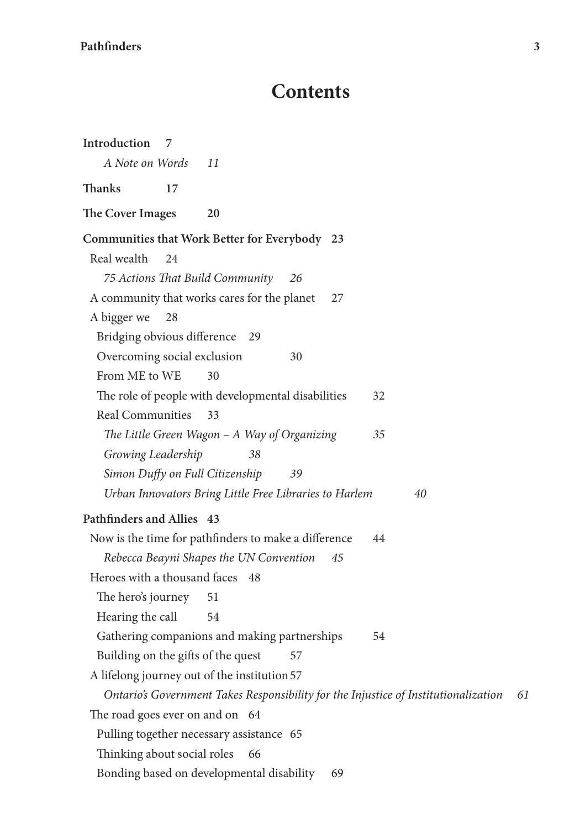## **Pathfinders 3**

## **Contents**

| Introduction<br>7                                                                   |    |
|-------------------------------------------------------------------------------------|----|
| A Note on Words<br>11                                                               |    |
| Thanks<br>17                                                                        |    |
| The Cover Images<br>20                                                              |    |
| Communities that Work Better for Everybody 23                                       |    |
| Real wealth<br>24                                                                   |    |
| 75 Actions That Build Community<br>26                                               |    |
| A community that works cares for the planet<br>27                                   |    |
| A bigger we<br>28                                                                   |    |
| Bridging obvious difference<br>29                                                   |    |
| Overcoming social exclusion<br>30                                                   |    |
| From ME to WE<br>30                                                                 |    |
| The role of people with developmental disabilities<br>32                            |    |
| <b>Real Communities</b><br>33                                                       |    |
| The Little Green Wagon - A Way of Organizing<br>35                                  |    |
| Growing Leadership<br>38                                                            |    |
| Simon Duffy on Full Citizenship<br>39                                               |    |
| Urban Innovators Bring Little Free Libraries to Harlem<br>40                        |    |
| Pathfinders and Allies 43                                                           |    |
| Now is the time for pathfinders to make a difference<br>44                          |    |
| Rebecca Beayni Shapes the UN Convention<br>45                                       |    |
| Heroes with a thousand faces 48                                                     |    |
| The hero's journey<br>51                                                            |    |
| Hearing the call<br>54                                                              |    |
| Gathering companions and making partnerships<br>54                                  |    |
| Building on the gifts of the quest 57                                               |    |
| A lifelong journey out of the institution 57                                        |    |
| Ontario's Government Takes Responsibility for the Injustice of Institutionalization | 61 |
| The road goes ever on and on 64                                                     |    |
| Pulling together necessary assistance 65                                            |    |
| Thinking about social roles<br>66                                                   |    |
| Bonding based on developmental disability<br>69                                     |    |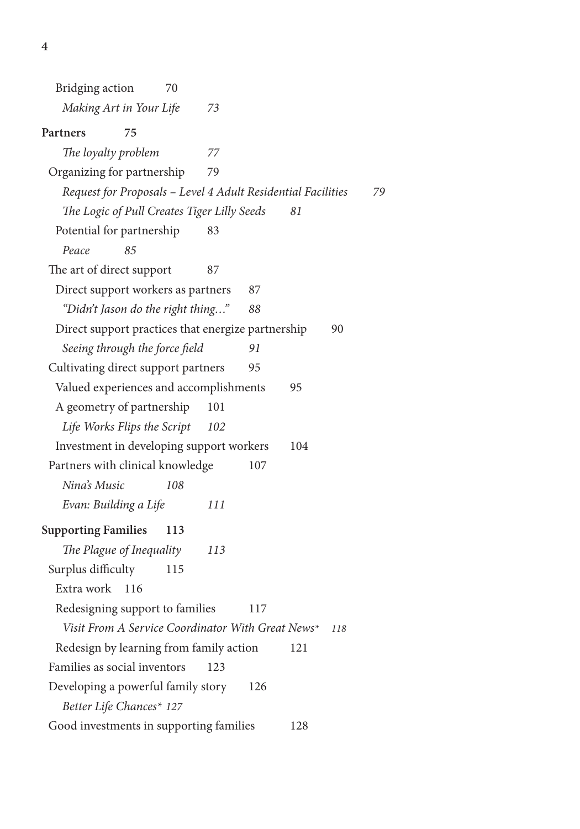Bridging action 70 *Making Art in Your Life 73* **Partners 75** *The loyalty problem 77* Organizing for partnership 79 *Request for Proposals – Level 4 Adult Residential Facilities 79 The Logic of Pull Creates Tiger Lilly Seeds 81* Potential for partnership 83 *Peace 85* The art of direct support 87 Direct support workers as partners 87 *"Didn't Jason do the right thing…" 88* Direct support practices that energize partnership 90 *Seeing through the force field 91* Cultivating direct support partners 95 Valued experiences and accomplishments 95 A geometry of partnership 101 *Life Works Flips the Script 102* Investment in developing support workers 104 Partners with clinical knowledge 107 *Nina's Music 108 Evan: Building a Life 111* **Supporting Families 113** *The Plague of Inequality 113* Surplus difficulty 115 Extra work 116 Redesigning support to families 117 *Visit From A Service Coordinator With Great News\* 118* Redesign by learning from family action 121 Families as social inventors 123 Developing a powerful family story 126 *Better Life Chances\* 127* Good investments in supporting families 128

**4**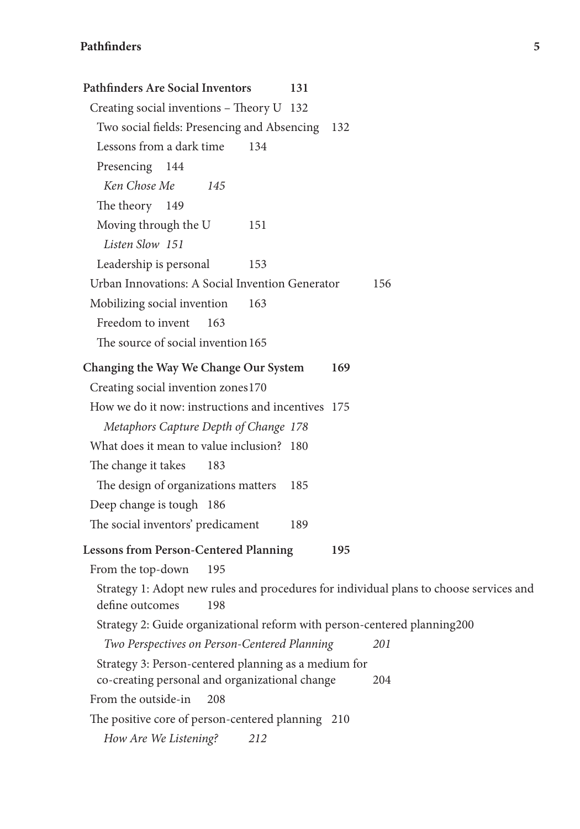## **Pathfinders 5**

| <b>Pathfinders Are Social Inventors</b><br>131                                                                   |  |  |  |  |  |
|------------------------------------------------------------------------------------------------------------------|--|--|--|--|--|
| Creating social inventions - Theory U 132                                                                        |  |  |  |  |  |
| Two social fields: Presencing and Absencing<br>132                                                               |  |  |  |  |  |
| Lessons from a dark time<br>134                                                                                  |  |  |  |  |  |
| Presencing 144                                                                                                   |  |  |  |  |  |
| Ken Chose Me<br>145                                                                                              |  |  |  |  |  |
| The theory 149                                                                                                   |  |  |  |  |  |
| Moving through the U<br>151                                                                                      |  |  |  |  |  |
| Listen Slow 151                                                                                                  |  |  |  |  |  |
| Leadership is personal<br>153                                                                                    |  |  |  |  |  |
| Urban Innovations: A Social Invention Generator<br>156                                                           |  |  |  |  |  |
| Mobilizing social invention<br>163                                                                               |  |  |  |  |  |
| Freedom to invent<br>163                                                                                         |  |  |  |  |  |
| The source of social invention 165                                                                               |  |  |  |  |  |
| Changing the Way We Change Our System<br>169                                                                     |  |  |  |  |  |
| Creating social invention zones170                                                                               |  |  |  |  |  |
| How we do it now: instructions and incentives 175                                                                |  |  |  |  |  |
| Metaphors Capture Depth of Change 178                                                                            |  |  |  |  |  |
| What does it mean to value inclusion? 180                                                                        |  |  |  |  |  |
| The change it takes<br>183                                                                                       |  |  |  |  |  |
| The design of organizations matters<br>185                                                                       |  |  |  |  |  |
| Deep change is tough 186                                                                                         |  |  |  |  |  |
| The social inventors' predicament<br>189                                                                         |  |  |  |  |  |
| <b>Lessons from Person-Centered Planning</b><br>195                                                              |  |  |  |  |  |
| From the top-down<br>195                                                                                         |  |  |  |  |  |
| Strategy 1: Adopt new rules and procedures for individual plans to choose services and<br>define outcomes<br>198 |  |  |  |  |  |
| Strategy 2: Guide organizational reform with person-centered planning200                                         |  |  |  |  |  |
| Two Perspectives on Person-Centered Planning<br>201                                                              |  |  |  |  |  |
| Strategy 3: Person-centered planning as a medium for<br>co-creating personal and organizational change<br>204    |  |  |  |  |  |
| From the outside-in<br>208                                                                                       |  |  |  |  |  |
| The positive core of person-centered planning 210                                                                |  |  |  |  |  |
| How Are We Listening?<br>212                                                                                     |  |  |  |  |  |
|                                                                                                                  |  |  |  |  |  |